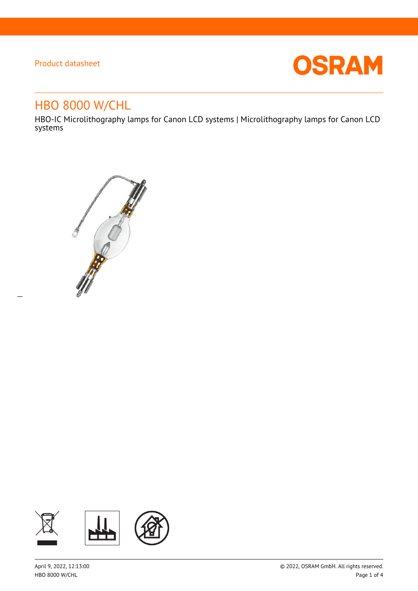$\overline{a}$ 



# HBO 8000 W/CHL

HBO-IC Microlithography lamps for Canon LCD systems | Microlithography lamps for Canon LCD systems



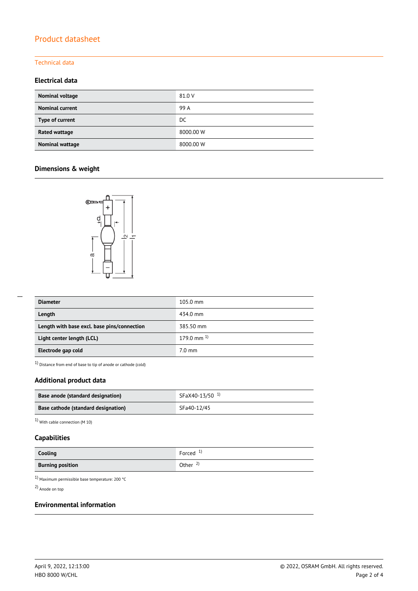### Technical data

### **Electrical data**

| Nominal voltage        | 81.0 V    |
|------------------------|-----------|
| <b>Nominal current</b> | 99 A      |
| Type of current        | DC        |
| <b>Rated wattage</b>   | 8000.00 W |
| Nominal wattage        | 8000.00 W |

### **Dimensions & weight**



| <b>Diameter</b>                             | $105.0 \text{ mm}$ |
|---------------------------------------------|--------------------|
| Length                                      | 434.0 mm           |
| Length with base excl. base pins/connection | 385.50 mm          |
| Light center length (LCL)                   | 179.0 mm $^{1}$    |
| Electrode gap cold                          | $7.0 \text{ mm}$   |

 $1)$  Distance from end of base to tip of anode or cathode (cold)

### **Additional product data**

| Base anode (standard designation)   | SFaX40-13/50 <sup>1</sup> |
|-------------------------------------|---------------------------|
| Base cathode (standard designation) | SFa40-12/45               |

1) With cable connection (M 10)

### **Capabilities**

| Cooling                 | Forced $1$ )        |
|-------------------------|---------------------|
| <b>Burning position</b> | Other $\frac{2}{3}$ |

1) Maximum permissible base temperature: 200 °C

2) Anode on top

#### **Environmental information**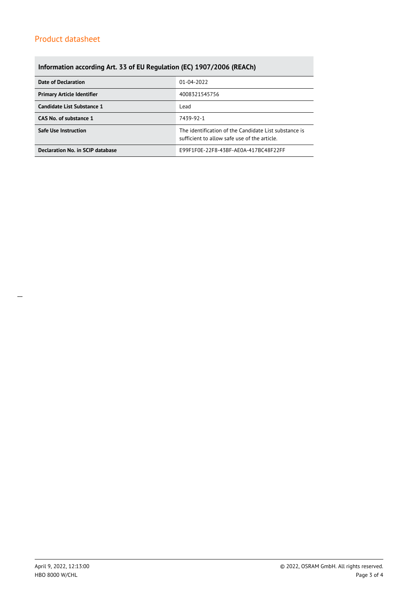## **Information according Art. 33 of EU Regulation (EC) 1907/2006 (REACh)**

| Date of Declaration               | 01-04-2022                                                                                            |  |
|-----------------------------------|-------------------------------------------------------------------------------------------------------|--|
| <b>Primary Article Identifier</b> | 4008321545756                                                                                         |  |
| Candidate List Substance 1        | Lead                                                                                                  |  |
| CAS No. of substance 1            | 7439-92-1                                                                                             |  |
| <b>Safe Use Instruction</b>       | The identification of the Candidate List substance is<br>sufficient to allow safe use of the article. |  |
| Declaration No. in SCIP database  | E99F1F0E-22F8-43BF-AE0A-417BC48F22FF                                                                  |  |